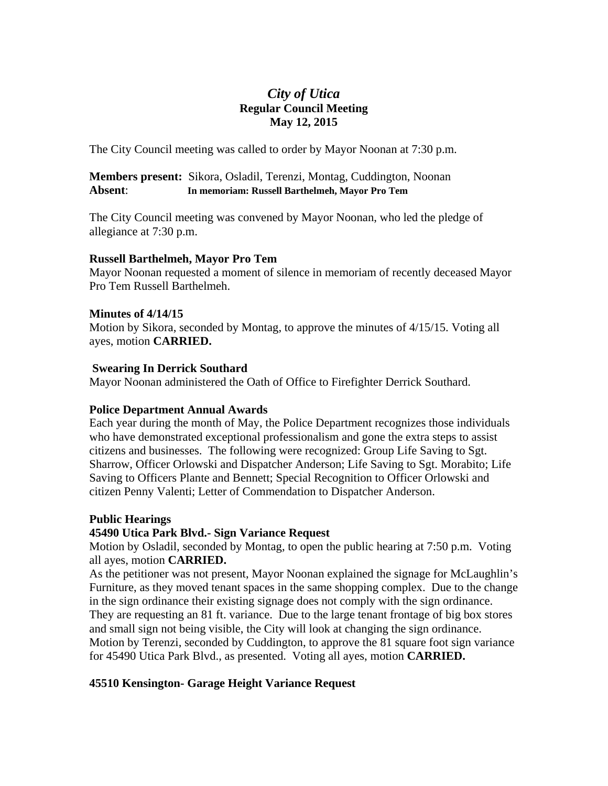# *City of Utica*  **Regular Council Meeting May 12, 2015**

The City Council meeting was called to order by Mayor Noonan at 7:30 p.m.

## **Members present:** Sikora, Osladil, Terenzi, Montag, Cuddington, Noonan **Absent**: **In memoriam: Russell Barthelmeh, Mayor Pro Tem**

The City Council meeting was convened by Mayor Noonan, who led the pledge of allegiance at 7:30 p.m.

## **Russell Barthelmeh, Mayor Pro Tem**

Mayor Noonan requested a moment of silence in memoriam of recently deceased Mayor Pro Tem Russell Barthelmeh.

## **Minutes of 4/14/15**

Motion by Sikora, seconded by Montag, to approve the minutes of 4/15/15. Voting all ayes, motion **CARRIED.** 

## **Swearing In Derrick Southard**

Mayor Noonan administered the Oath of Office to Firefighter Derrick Southard.

# **Police Department Annual Awards**

Each year during the month of May, the Police Department recognizes those individuals who have demonstrated exceptional professionalism and gone the extra steps to assist citizens and businesses. The following were recognized: Group Life Saving to Sgt. Sharrow, Officer Orlowski and Dispatcher Anderson; Life Saving to Sgt. Morabito; Life Saving to Officers Plante and Bennett; Special Recognition to Officer Orlowski and citizen Penny Valenti; Letter of Commendation to Dispatcher Anderson.

# **Public Hearings**

# **45490 Utica Park Blvd.- Sign Variance Request**

Motion by Osladil, seconded by Montag, to open the public hearing at 7:50 p.m. Voting all ayes, motion **CARRIED.** 

As the petitioner was not present, Mayor Noonan explained the signage for McLaughlin's Furniture, as they moved tenant spaces in the same shopping complex. Due to the change in the sign ordinance their existing signage does not comply with the sign ordinance. They are requesting an 81 ft. variance. Due to the large tenant frontage of big box stores and small sign not being visible, the City will look at changing the sign ordinance. Motion by Terenzi, seconded by Cuddington, to approve the 81 square foot sign variance for 45490 Utica Park Blvd., as presented. Voting all ayes, motion **CARRIED.** 

# **45510 Kensington- Garage Height Variance Request**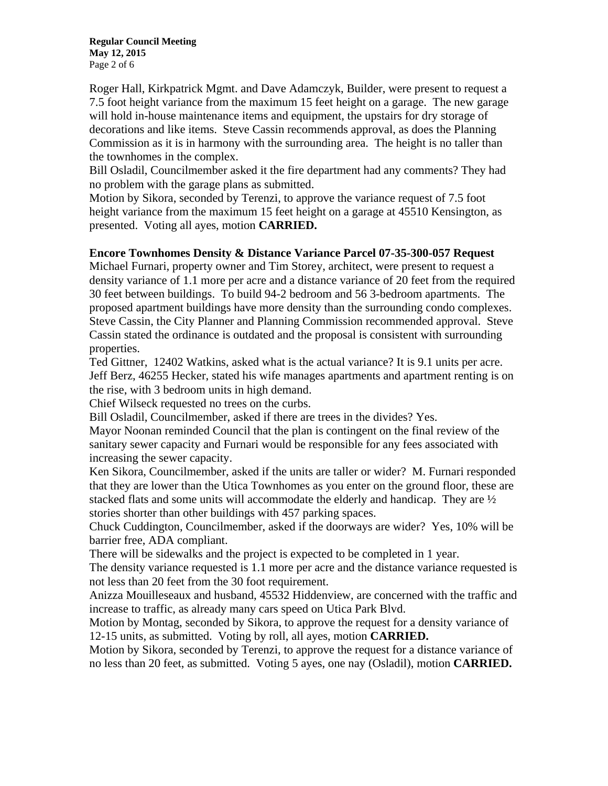**Regular Council Meeting May 12, 2015**  Page 2 of 6

Roger Hall, Kirkpatrick Mgmt. and Dave Adamczyk, Builder, were present to request a 7.5 foot height variance from the maximum 15 feet height on a garage. The new garage will hold in-house maintenance items and equipment, the upstairs for dry storage of decorations and like items. Steve Cassin recommends approval, as does the Planning Commission as it is in harmony with the surrounding area. The height is no taller than the townhomes in the complex.

Bill Osladil, Councilmember asked it the fire department had any comments? They had no problem with the garage plans as submitted.

Motion by Sikora, seconded by Terenzi, to approve the variance request of 7.5 foot height variance from the maximum 15 feet height on a garage at 45510 Kensington, as presented. Voting all ayes, motion **CARRIED.** 

## **Encore Townhomes Density & Distance Variance Parcel 07-35-300-057 Request**

Michael Furnari, property owner and Tim Storey, architect, were present to request a density variance of 1.1 more per acre and a distance variance of 20 feet from the required 30 feet between buildings. To build 94-2 bedroom and 56 3-bedroom apartments. The proposed apartment buildings have more density than the surrounding condo complexes. Steve Cassin, the City Planner and Planning Commission recommended approval. Steve Cassin stated the ordinance is outdated and the proposal is consistent with surrounding properties.

Ted Gittner, 12402 Watkins, asked what is the actual variance? It is 9.1 units per acre. Jeff Berz, 46255 Hecker, stated his wife manages apartments and apartment renting is on the rise, with 3 bedroom units in high demand.

Chief Wilseck requested no trees on the curbs.

Bill Osladil, Councilmember, asked if there are trees in the divides? Yes.

Mayor Noonan reminded Council that the plan is contingent on the final review of the sanitary sewer capacity and Furnari would be responsible for any fees associated with increasing the sewer capacity.

Ken Sikora, Councilmember, asked if the units are taller or wider? M. Furnari responded that they are lower than the Utica Townhomes as you enter on the ground floor, these are stacked flats and some units will accommodate the elderly and handicap. They are  $\frac{1}{2}$ stories shorter than other buildings with 457 parking spaces.

Chuck Cuddington, Councilmember, asked if the doorways are wider? Yes, 10% will be barrier free, ADA compliant.

There will be sidewalks and the project is expected to be completed in 1 year.

The density variance requested is 1.1 more per acre and the distance variance requested is not less than 20 feet from the 30 foot requirement.

Anizza Mouilleseaux and husband, 45532 Hiddenview, are concerned with the traffic and increase to traffic, as already many cars speed on Utica Park Blvd.

Motion by Montag, seconded by Sikora, to approve the request for a density variance of 12-15 units, as submitted. Voting by roll, all ayes, motion **CARRIED.** 

Motion by Sikora, seconded by Terenzi, to approve the request for a distance variance of no less than 20 feet, as submitted. Voting 5 ayes, one nay (Osladil), motion **CARRIED.**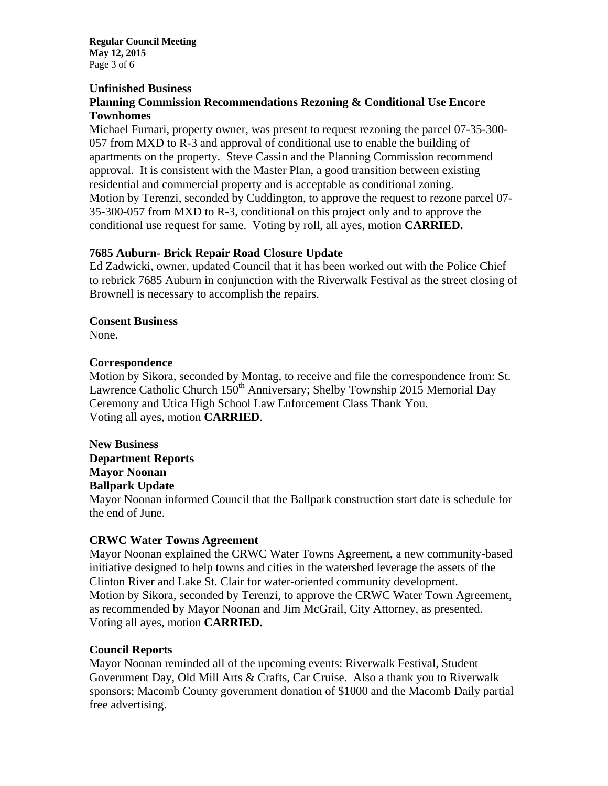**Regular Council Meeting May 12, 2015**  Page 3 of 6

### **Unfinished Business**

## **Planning Commission Recommendations Rezoning & Conditional Use Encore Townhomes**

Michael Furnari, property owner, was present to request rezoning the parcel 07-35-300- 057 from MXD to R-3 and approval of conditional use to enable the building of apartments on the property. Steve Cassin and the Planning Commission recommend approval. It is consistent with the Master Plan, a good transition between existing residential and commercial property and is acceptable as conditional zoning. Motion by Terenzi, seconded by Cuddington, to approve the request to rezone parcel 07- 35-300-057 from MXD to R-3, conditional on this project only and to approve the conditional use request for same. Voting by roll, all ayes, motion **CARRIED.** 

## **7685 Auburn- Brick Repair Road Closure Update**

Ed Zadwicki, owner, updated Council that it has been worked out with the Police Chief to rebrick 7685 Auburn in conjunction with the Riverwalk Festival as the street closing of Brownell is necessary to accomplish the repairs.

#### **Consent Business**

None.

#### **Correspondence**

Motion by Sikora, seconded by Montag, to receive and file the correspondence from: St. Lawrence Catholic Church  $150^{th}$  Anniversary; Shelby Township 2015 Memorial Day Ceremony and Utica High School Law Enforcement Class Thank You. Voting all ayes, motion **CARRIED**.

**New Business Department Reports Mayor Noonan Ballpark Update** 

Mayor Noonan informed Council that the Ballpark construction start date is schedule for the end of June.

## **CRWC Water Towns Agreement**

Mayor Noonan explained the CRWC Water Towns Agreement, a new community-based initiative designed to help towns and cities in the watershed leverage the assets of the Clinton River and Lake St. Clair for water-oriented community development. Motion by Sikora, seconded by Terenzi, to approve the CRWC Water Town Agreement, as recommended by Mayor Noonan and Jim McGrail, City Attorney, as presented. Voting all ayes, motion **CARRIED.**

## **Council Reports**

Mayor Noonan reminded all of the upcoming events: Riverwalk Festival, Student Government Day, Old Mill Arts & Crafts, Car Cruise. Also a thank you to Riverwalk sponsors; Macomb County government donation of \$1000 and the Macomb Daily partial free advertising.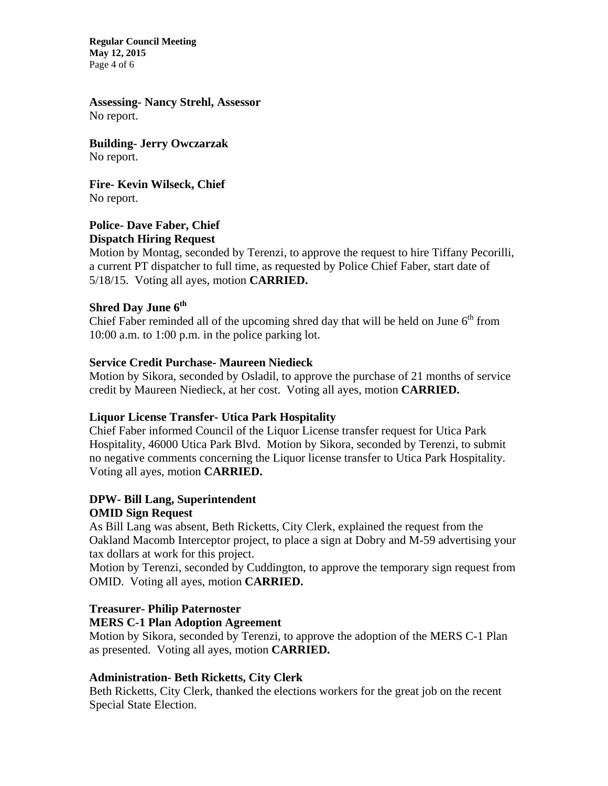**Regular Council Meeting May 12, 2015**  Page 4 of 6

**Assessing- Nancy Strehl, Assessor**  No report.

**Building- Jerry Owczarzak**  No report.

**Fire- Kevin Wilseck, Chief**  No report.

#### **Police- Dave Faber, Chief Dispatch Hiring Request**

# Motion by Montag, seconded by Terenzi, to approve the request to hire Tiffany Pecorilli, a current PT dispatcher to full time, as requested by Police Chief Faber, start date of 5/18/15. Voting all ayes, motion **CARRIED.**

# **Shred Day June 6th**

Chief Faber reminded all of the upcoming shred day that will be held on June  $6<sup>th</sup>$  from 10:00 a.m. to 1:00 p.m. in the police parking lot.

## **Service Credit Purchase- Maureen Niedieck**

Motion by Sikora, seconded by Osladil, to approve the purchase of 21 months of service credit by Maureen Niedieck, at her cost. Voting all ayes, motion **CARRIED.** 

# **Liquor License Transfer- Utica Park Hospitality**

Chief Faber informed Council of the Liquor License transfer request for Utica Park Hospitality, 46000 Utica Park Blvd. Motion by Sikora, seconded by Terenzi, to submit no negative comments concerning the Liquor license transfer to Utica Park Hospitality. Voting all ayes, motion **CARRIED.** 

# **DPW- Bill Lang, Superintendent OMID Sign Request**

As Bill Lang was absent, Beth Ricketts, City Clerk, explained the request from the Oakland Macomb Interceptor project, to place a sign at Dobry and M-59 advertising your tax dollars at work for this project.

Motion by Terenzi, seconded by Cuddington, to approve the temporary sign request from OMID. Voting all ayes, motion **CARRIED.** 

# **Treasurer- Philip Paternoster**

# **MERS C-1 Plan Adoption Agreement**

Motion by Sikora, seconded by Terenzi, to approve the adoption of the MERS C-1 Plan as presented. Voting all ayes, motion **CARRIED.** 

# **Administration- Beth Ricketts, City Clerk**

Beth Ricketts, City Clerk, thanked the elections workers for the great job on the recent Special State Election.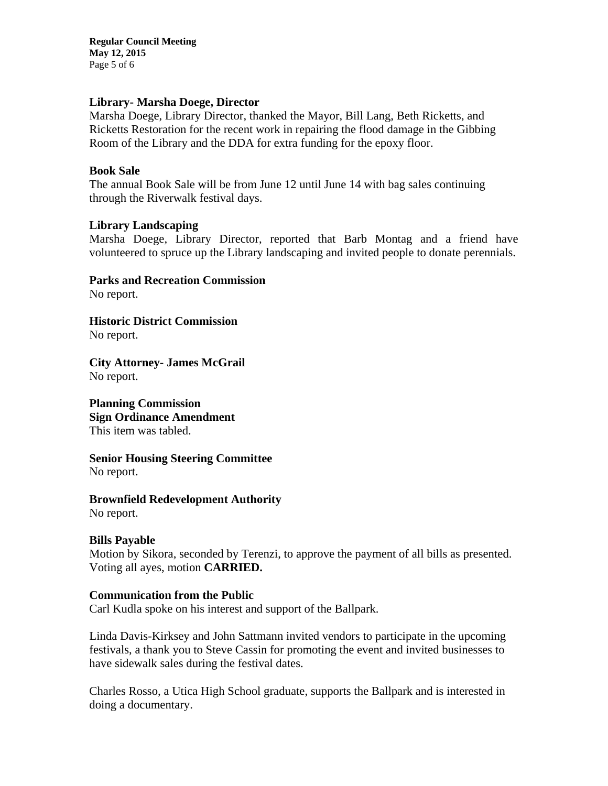**Regular Council Meeting May 12, 2015**  Page 5 of 6

### **Library- Marsha Doege, Director**

Marsha Doege, Library Director, thanked the Mayor, Bill Lang, Beth Ricketts, and Ricketts Restoration for the recent work in repairing the flood damage in the Gibbing Room of the Library and the DDA for extra funding for the epoxy floor.

#### **Book Sale**

The annual Book Sale will be from June 12 until June 14 with bag sales continuing through the Riverwalk festival days.

#### **Library Landscaping**

Marsha Doege, Library Director, reported that Barb Montag and a friend have volunteered to spruce up the Library landscaping and invited people to donate perennials.

**Parks and Recreation Commission** 

No report.

**Historic District Commission**  No report.

**City Attorney- James McGrail**  No report.

**Planning Commission Sign Ordinance Amendment**  This item was tabled.

**Senior Housing Steering Committee**  No report.

**Brownfield Redevelopment Authority**  No report.

## **Bills Payable**

Motion by Sikora, seconded by Terenzi, to approve the payment of all bills as presented. Voting all ayes, motion **CARRIED.** 

## **Communication from the Public**

Carl Kudla spoke on his interest and support of the Ballpark.

Linda Davis-Kirksey and John Sattmann invited vendors to participate in the upcoming festivals, a thank you to Steve Cassin for promoting the event and invited businesses to have sidewalk sales during the festival dates.

Charles Rosso, a Utica High School graduate, supports the Ballpark and is interested in doing a documentary.